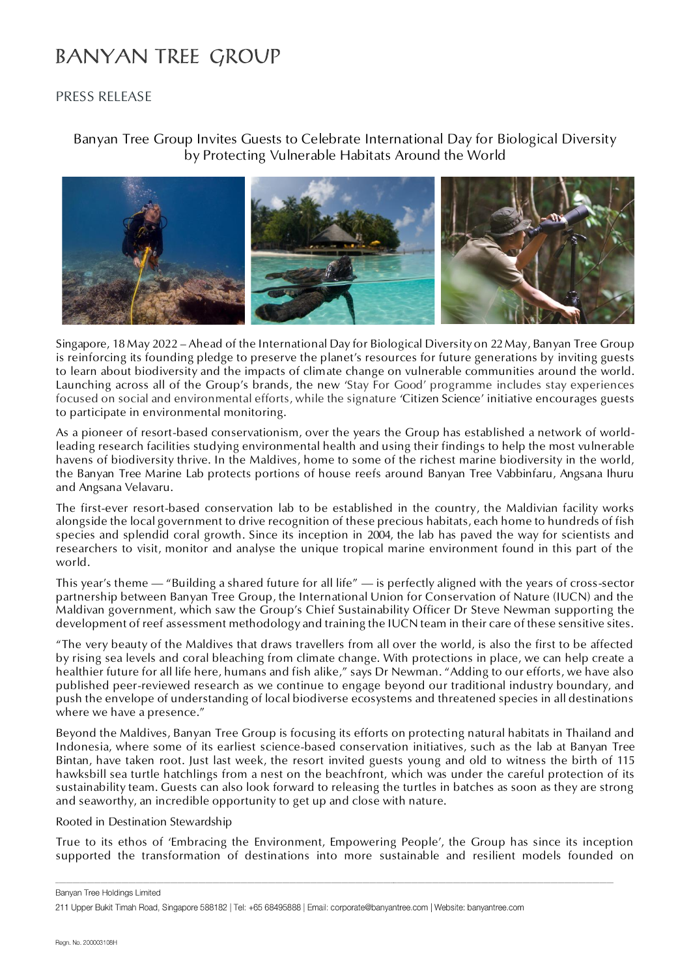## **BANYAN TREE GROUP**

### PRESS RELEASE

### Banyan Tree Group Invites Guests to Celebrate International Day for Biological Diversity by Protecting Vulnerable Habitats Around the World



Singapore, 18 May 2022 – Ahead of the International Day for Biological Diversity on 22 May, Banyan Tree Group is reinforcing its founding pledge to preserve the planet's resources for future generations by inviting guests to learn about biodiversity and the impacts of climate change on vulnerable communities around the world. Launching across all of the Group's brands, the new 'Stay For Good' programme includes stay experiences focused on social and environmental efforts, while the signature 'Citizen Science' initiative encourages guests to participate in environmental monitoring.

As a pioneer of resort-based conservationism, over the years the Group has established a network of worldleading research facilities studying environmental health and using their findings to help the most vulnerable havens of biodiversity thrive. In the Maldives, home to some of the richest marine biodiversity in the world, the Banyan Tree Marine Lab protects portions of house reefs around Banyan Tree Vabbinfaru, Angsana Ihuru and Angsana Velavaru.

The first-ever resort-based conservation lab to be established in the country, the Maldivian facility works alongside the local government to drive recognition of these precious habitats, each home to hundreds of fish species and splendid coral growth. Since its inception in 2004, the lab has paved the way for scientists and researchers to visit, monitor and analyse the unique tropical marine environment found in this part of the world.

This year's theme — "Building a shared future for all life" — is perfectly aligned with the years of cross-sector partnership between Banyan Tree Group, the International Union for Conservation of Nature (IUCN) and the Maldivan government, which saw the Group's Chief Sustainability Officer Dr Steve Newman supporting the development of reef assessment methodology and training the IUCN team in their care of these sensitive sites.

"The very beauty of the Maldives that draws travellers from all over the world, is also the first to be affected by rising sea levels and coral bleaching from climate change. With protections in place, we can help create a healthier future for all life here, humans and fish alike," says Dr Newman. "Adding to our efforts, we have also published peer-reviewed research as we continue to engage beyond our traditional industry boundary, and push the envelope of understanding of local biodiverse ecosystems and threatened species in all destinations where we have a presence."

Beyond the Maldives, Banyan Tree Group is focusing its efforts on protecting natural habitats in Thailand and Indonesia, where some of its earliest science-based conservation initiatives, such as the lab at Banyan Tree Bintan, have taken root. Just last week, the resort invited guests young and old to witness the birth of 115 hawksbill sea turtle hatchlings from a nest on the beachfront, which was under the careful protection of its sustainability team. Guests can also look forward to releasing the turtles in batches as soon as they are strong and seaworthy, an incredible opportunity to get up and close with nature.

Rooted in Destination Stewardship

True to its ethos of 'Embracing the Environment, Empowering People', the Group has since its inception supported the transformation of destinations into more sustainable and resilient models founded on

Banyan Tree Holdings Limited

<sup>211</sup> Upper Bukit Timah Road, Singapore 588182 | Tel: +65 68495888 | Email: corporate@banyantree.com | Website: banyantree.com